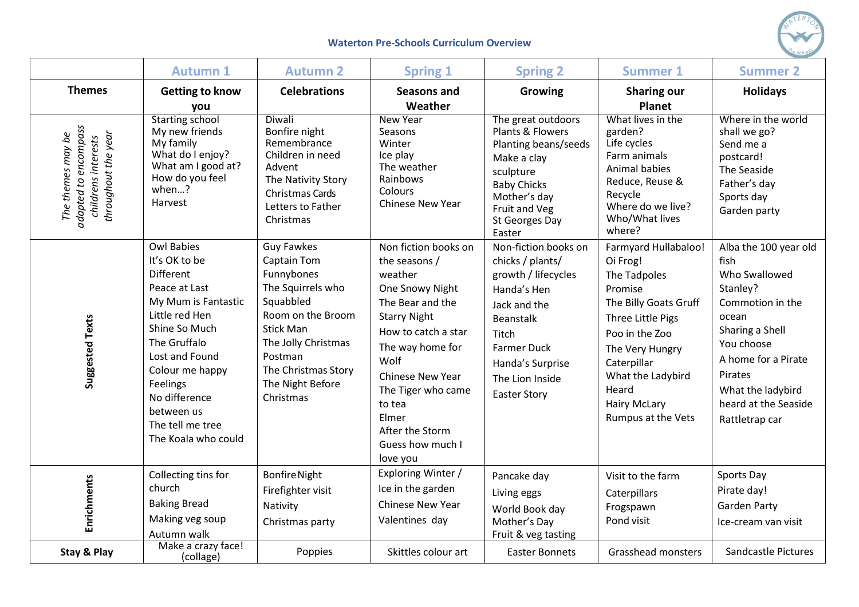

## **Waterton Pre-Schools Curriculum Overview**

|                                                                                         | <b>Autumn 1</b>                                                                                                                                                                                                                                                              | <b>Autumn 2</b>                                                                                                                                                                                                            | <b>Spring 1</b>                                                                                                                                                                                                                                                                   | <b>Spring 2</b>                                                                                                                                                                                                 | <b>Summer 1</b>                                                                                                                                                                                                                                 | <b>Summer 2</b>                                                                                                                                                                                                           |
|-----------------------------------------------------------------------------------------|------------------------------------------------------------------------------------------------------------------------------------------------------------------------------------------------------------------------------------------------------------------------------|----------------------------------------------------------------------------------------------------------------------------------------------------------------------------------------------------------------------------|-----------------------------------------------------------------------------------------------------------------------------------------------------------------------------------------------------------------------------------------------------------------------------------|-----------------------------------------------------------------------------------------------------------------------------------------------------------------------------------------------------------------|-------------------------------------------------------------------------------------------------------------------------------------------------------------------------------------------------------------------------------------------------|---------------------------------------------------------------------------------------------------------------------------------------------------------------------------------------------------------------------------|
| <b>Themes</b>                                                                           | <b>Getting to know</b><br>you                                                                                                                                                                                                                                                | <b>Celebrations</b>                                                                                                                                                                                                        | <b>Seasons and</b><br>Weather                                                                                                                                                                                                                                                     | Growing                                                                                                                                                                                                         | <b>Sharing our</b><br><b>Planet</b>                                                                                                                                                                                                             | <b>Holidays</b>                                                                                                                                                                                                           |
| adapted to encompass<br>throughout the year<br>The themes may be<br>childrens interests | <b>Starting school</b><br>My new friends<br>My family<br>What do I enjoy?<br>What am I good at?<br>How do you feel<br>when?<br>Harvest                                                                                                                                       | Diwali<br>Bonfire night<br>Remembrance<br>Children in need<br>Advent<br>The Nativity Story<br>Christmas Cards<br>Letters to Father<br>Christmas                                                                            | <b>New Year</b><br>Seasons<br>Winter<br>Ice play<br>The weather<br>Rainbows<br>Colours<br>Chinese New Year                                                                                                                                                                        | The great outdoors<br>Plants & Flowers<br>Planting beans/seeds<br>Make a clay<br>sculpture<br><b>Baby Chicks</b><br>Mother's day<br>Fruit and Veg<br>St Georges Day<br>Easter                                   | What lives in the<br>garden?<br>Life cycles<br>Farm animals<br>Animal babies<br>Reduce, Reuse &<br>Recycle<br>Where do we live?<br>Who/What lives<br>where?                                                                                     | Where in the world<br>shall we go?<br>Send me a<br>postcard!<br>The Seaside<br>Father's day<br>Sports day<br>Garden party                                                                                                 |
| Suggested Texts                                                                         | <b>Owl Babies</b><br>It's OK to be<br><b>Different</b><br>Peace at Last<br>My Mum is Fantastic<br>Little red Hen<br>Shine So Much<br>The Gruffalo<br>Lost and Found<br>Colour me happy<br>Feelings<br>No difference<br>between us<br>The tell me tree<br>The Koala who could | <b>Guy Fawkes</b><br><b>Captain Tom</b><br>Funnybones<br>The Squirrels who<br>Squabbled<br>Room on the Broom<br><b>Stick Man</b><br>The Jolly Christmas<br>Postman<br>The Christmas Story<br>The Night Before<br>Christmas | Non fiction books on<br>the seasons /<br>weather<br>One Snowy Night<br>The Bear and the<br><b>Starry Night</b><br>How to catch a star<br>The way home for<br>Wolf<br>Chinese New Year<br>The Tiger who came<br>to tea<br>Elmer<br>After the Storm<br>Guess how much I<br>love you | Non-fiction books on<br>chicks / plants/<br>growth / lifecycles<br>Handa's Hen<br>Jack and the<br><b>Beanstalk</b><br>Titch<br><b>Farmer Duck</b><br>Handa's Surprise<br>The Lion Inside<br><b>Easter Story</b> | <b>Farmyard Hullabaloo!</b><br>Oi Frog!<br>The Tadpoles<br>Promise<br>The Billy Goats Gruff<br>Three Little Pigs<br>Poo in the Zoo<br>The Very Hungry<br>Caterpillar<br>What the Ladybird<br>Heard<br><b>Hairy McLary</b><br>Rumpus at the Vets | Alba the 100 year old<br>fish<br>Who Swallowed<br>Stanley?<br>Commotion in the<br>ocean<br>Sharing a Shell<br>You choose<br>A home for a Pirate<br>Pirates<br>What the ladybird<br>heard at the Seaside<br>Rattletrap car |
| Enrichments                                                                             | Collecting tins for<br>church<br><b>Baking Bread</b>                                                                                                                                                                                                                         | <b>Bonfire Night</b><br>Firefighter visit<br>Nativity                                                                                                                                                                      | Exploring Winter /<br>Ice in the garden<br><b>Chinese New Year</b>                                                                                                                                                                                                                | Pancake day<br>Living eggs                                                                                                                                                                                      | Visit to the farm<br>Caterpillars<br>Frogspawn                                                                                                                                                                                                  | Sports Day<br>Pirate day!<br><b>Garden Party</b>                                                                                                                                                                          |
|                                                                                         | Making veg soup<br>Autumn walk                                                                                                                                                                                                                                               | Christmas party                                                                                                                                                                                                            | Valentines day                                                                                                                                                                                                                                                                    | World Book day<br>Mother's Day<br>Fruit & veg tasting                                                                                                                                                           | Pond visit                                                                                                                                                                                                                                      | Ice-cream van visit                                                                                                                                                                                                       |
| Stay & Play                                                                             | Make a crazy face!<br>(collage)                                                                                                                                                                                                                                              | Poppies                                                                                                                                                                                                                    | Skittles colour art                                                                                                                                                                                                                                                               | <b>Easter Bonnets</b>                                                                                                                                                                                           | Grasshead monsters                                                                                                                                                                                                                              | <b>Sandcastle Pictures</b>                                                                                                                                                                                                |